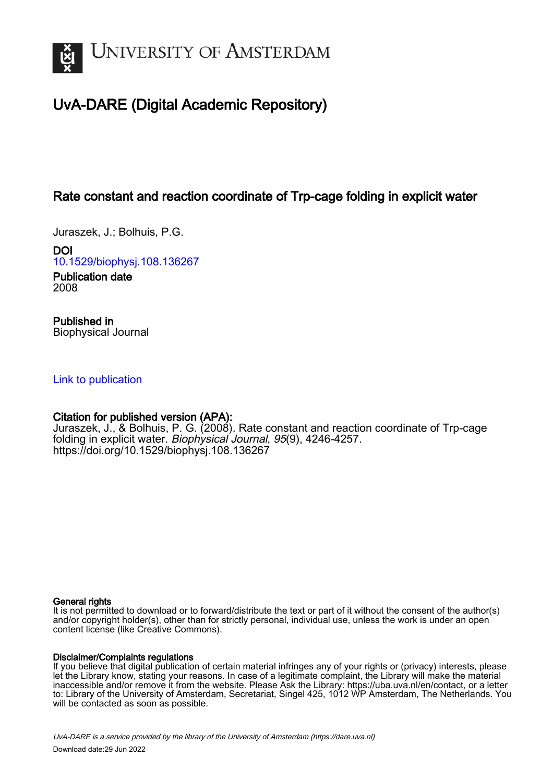

# UvA-DARE (Digital Academic Repository)

# Rate constant and reaction coordinate of Trp-cage folding in explicit water

Juraszek, J.; Bolhuis, P.G.

DOI [10.1529/biophysj.108.136267](https://doi.org/10.1529/biophysj.108.136267)

Publication date 2008

Published in Biophysical Journal

# [Link to publication](https://dare.uva.nl/personal/pure/en/publications/rate-constant-and-reaction-coordinate-of-trpcage-folding-in-explicit-water(9c2b9ad4-2f0f-420e-a48f-266598766015).html)

# Citation for published version (APA):

Juraszek, J., & Bolhuis, P. G. (2008). Rate constant and reaction coordinate of Trp-cage folding in explicit water. Biophysical Journal, 95(9), 4246-4257. <https://doi.org/10.1529/biophysj.108.136267>

# General rights

It is not permitted to download or to forward/distribute the text or part of it without the consent of the author(s) and/or copyright holder(s), other than for strictly personal, individual use, unless the work is under an open content license (like Creative Commons).

# Disclaimer/Complaints regulations

If you believe that digital publication of certain material infringes any of your rights or (privacy) interests, please let the Library know, stating your reasons. In case of a legitimate complaint, the Library will make the material inaccessible and/or remove it from the website. Please Ask the Library: https://uba.uva.nl/en/contact, or a letter to: Library of the University of Amsterdam, Secretariat, Singel 425, 1012 WP Amsterdam, The Netherlands. You will be contacted as soon as possible.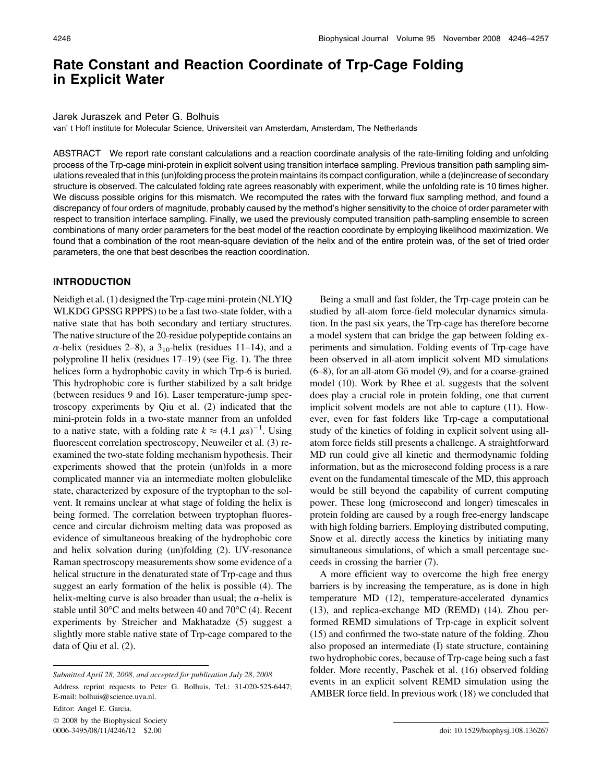# Rate Constant and Reaction Coordinate of Trp-Cage Folding in Explicit Water

#### Jarek Juraszek and Peter G. Bolhuis

van' t Hoff institute for Molecular Science, Universiteit van Amsterdam, Amsterdam, The Netherlands

ABSTRACT We report rate constant calculations and a reaction coordinate analysis of the rate-limiting folding and unfolding process of the Trp-cage mini-protein in explicit solvent using transition interface sampling. Previous transition path sampling simulations revealed that in this (un)folding process the protein maintains its compact configuration, while a (de)increase of secondary structure is observed. The calculated folding rate agrees reasonably with experiment, while the unfolding rate is 10 times higher. We discuss possible origins for this mismatch. We recomputed the rates with the forward flux sampling method, and found a discrepancy of four orders of magnitude, probably caused by the method's higher sensitivity to the choice of order parameter with respect to transition interface sampling. Finally, we used the previously computed transition path-sampling ensemble to screen combinations of many order parameters for the best model of the reaction coordinate by employing likelihood maximization. We found that a combination of the root mean-square deviation of the helix and of the entire protein was, of the set of tried order parameters, the one that best describes the reaction coordination.

# INTRODUCTION

Neidigh et al. (1) designed the Trp-cage mini-protein (NLYIQ WLKDG GPSSG RPPPS) to be a fast two-state folder, with a native state that has both secondary and tertiary structures. The native structure of the 20-residue polypeptide contains an  $\alpha$ -helix (residues 2–8), a 3<sub>10</sub>-helix (residues 11–14), and a polyproline II helix (residues 17–19) (see Fig. 1). The three helices form a hydrophobic cavity in which Trp-6 is buried. This hydrophobic core is further stabilized by a salt bridge (between residues 9 and 16). Laser temperature-jump spectroscopy experiments by Qiu et al. (2) indicated that the mini-protein folds in a two-state manner from an unfolded to a native state, with a folding rate  $k \approx (4.1 \ \mu s)^{-1}$ . Using fluorescent correlation spectroscopy, Neuweiler et al. (3) reexamined the two-state folding mechanism hypothesis. Their experiments showed that the protein (un)folds in a more complicated manner via an intermediate molten globulelike state, characterized by exposure of the tryptophan to the solvent. It remains unclear at what stage of folding the helix is being formed. The correlation between tryptophan fluorescence and circular dichroism melting data was proposed as evidence of simultaneous breaking of the hydrophobic core and helix solvation during (un)folding (2). UV-resonance Raman spectroscopy measurements show some evidence of a helical structure in the denaturated state of Trp-cage and thus suggest an early formation of the helix is possible (4). The helix-melting curve is also broader than usual; the  $\alpha$ -helix is stable until 30 $\degree$ C and melts between 40 and 70 $\degree$ C (4). Recent experiments by Streicher and Makhatadze (5) suggest a slightly more stable native state of Trp-cage compared to the data of Qiu et al. (2).

0006-3495/08/11/4246/12 \$2.00

Being a small and fast folder, the Trp-cage protein can be studied by all-atom force-field molecular dynamics simulation. In the past six years, the Trp-cage has therefore become a model system that can bridge the gap between folding experiments and simulation. Folding events of Trp-cage have been observed in all-atom implicit solvent MD simulations  $(6-8)$ , for an all-atom Go model  $(9)$ , and for a coarse-grained model (10). Work by Rhee et al. suggests that the solvent does play a crucial role in protein folding, one that current implicit solvent models are not able to capture (11). However, even for fast folders like Trp-cage a computational study of the kinetics of folding in explicit solvent using allatom force fields still presents a challenge. A straightforward MD run could give all kinetic and thermodynamic folding information, but as the microsecond folding process is a rare event on the fundamental timescale of the MD, this approach would be still beyond the capability of current computing power. These long (microsecond and longer) timescales in protein folding are caused by a rough free-energy landscape with high folding barriers. Employing distributed computing, Snow et al. directly access the kinetics by initiating many simultaneous simulations, of which a small percentage succeeds in crossing the barrier (7).

A more efficient way to overcome the high free energy barriers is by increasing the temperature, as is done in high temperature MD (12), temperature-accelerated dynamics (13), and replica-exchange MD (REMD) (14). Zhou performed REMD simulations of Trp-cage in explicit solvent (15) and confirmed the two-state nature of the folding. Zhou also proposed an intermediate (I) state structure, containing two hydrophobic cores, because of Trp-cage being such a fast folder. More recently, Paschek et al. (16) observed folding events in an explicit solvent REMD simulation using the AMBER force field. In previous work (18) we concluded that

Submitted April 28, 2008, and accepted for publication July 28, 2008. Address reprint requests to Peter G. Bolhuis, Tel.: 31-020-525-6447; E-mail: bolhuis@science.uva.nl.

Editor: Angel E. Garcia. 2008 by the Biophysical Society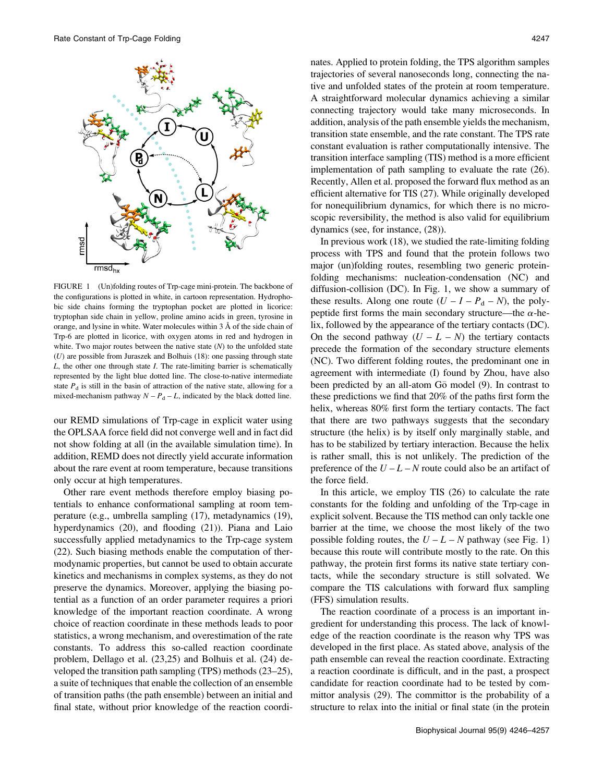

FIGURE 1 (Un)folding routes of Trp-cage mini-protein. The backbone of the configurations is plotted in white, in cartoon representation. Hydrophobic side chains forming the tryptophan pocket are plotted in licorice: tryptophan side chain in yellow, proline amino acids in green, tyrosine in orange, and lysine in white. Water molecules within  $3 \text{ Å}$  of the side chain of Trp-6 are plotted in licorice, with oxygen atoms in red and hydrogen in white. Two major routes between the native state  $(N)$  to the unfolded state  $(U)$  are possible from Juraszek and Bolhuis (18): one passing through state L, the other one through state I. The rate-limiting barrier is schematically represented by the light blue dotted line. The close-to-native intermediate state  $P_d$  is still in the basin of attraction of the native state, allowing for a mixed-mechanism pathway  $N - P_d - L$ , indicated by the black dotted line.

our REMD simulations of Trp-cage in explicit water using the OPLSAA force field did not converge well and in fact did not show folding at all (in the available simulation time). In addition, REMD does not directly yield accurate information about the rare event at room temperature, because transitions only occur at high temperatures.

Other rare event methods therefore employ biasing potentials to enhance conformational sampling at room temperature (e.g., umbrella sampling (17), metadynamics (19), hyperdynamics (20), and flooding (21)). Piana and Laio successfully applied metadynamics to the Trp-cage system (22). Such biasing methods enable the computation of thermodynamic properties, but cannot be used to obtain accurate kinetics and mechanisms in complex systems, as they do not preserve the dynamics. Moreover, applying the biasing potential as a function of an order parameter requires a priori knowledge of the important reaction coordinate. A wrong choice of reaction coordinate in these methods leads to poor statistics, a wrong mechanism, and overestimation of the rate constants. To address this so-called reaction coordinate problem, Dellago et al. (23,25) and Bolhuis et al. (24) developed the transition path sampling (TPS) methods (23–25), a suite of techniques that enable the collection of an ensemble of transition paths (the path ensemble) between an initial and final state, without prior knowledge of the reaction coordinates. Applied to protein folding, the TPS algorithm samples trajectories of several nanoseconds long, connecting the native and unfolded states of the protein at room temperature. A straightforward molecular dynamics achieving a similar connecting trajectory would take many microseconds. In addition, analysis of the path ensemble yields the mechanism, transition state ensemble, and the rate constant. The TPS rate constant evaluation is rather computationally intensive. The transition interface sampling (TIS) method is a more efficient implementation of path sampling to evaluate the rate (26). Recently, Allen et al. proposed the forward flux method as an efficient alternative for TIS (27). While originally developed for nonequilibrium dynamics, for which there is no microscopic reversibility, the method is also valid for equilibrium dynamics (see, for instance, (28)).

In previous work (18), we studied the rate-limiting folding process with TPS and found that the protein follows two major (un)folding routes, resembling two generic proteinfolding mechanisms: nucleation-condensation (NC) and diffusion-collision (DC). In Fig. 1, we show a summary of these results. Along one route  $(U - I - P_d - N)$ , the polypeptide first forms the main secondary structure—the  $\alpha$ -helix, followed by the appearance of the tertiary contacts (DC). On the second pathway  $(U - L - N)$  the tertiary contacts precede the formation of the secondary structure elements (NC). Two different folding routes, the predominant one in agreement with intermediate (I) found by Zhou, have also been predicted by an all-atom Go model (9). In contrast to these predictions we find that 20% of the paths first form the helix, whereas 80% first form the tertiary contacts. The fact that there are two pathways suggests that the secondary structure (the helix) is by itself only marginally stable, and has to be stabilized by tertiary interaction. Because the helix is rather small, this is not unlikely. The prediction of the preference of the  $U - L - N$  route could also be an artifact of the force field.

In this article, we employ TIS (26) to calculate the rate constants for the folding and unfolding of the Trp-cage in explicit solvent. Because the TIS method can only tackle one barrier at the time, we choose the most likely of the two possible folding routes, the  $U - L - N$  pathway (see Fig. 1) because this route will contribute mostly to the rate. On this pathway, the protein first forms its native state tertiary contacts, while the secondary structure is still solvated. We compare the TIS calculations with forward flux sampling (FFS) simulation results.

The reaction coordinate of a process is an important ingredient for understanding this process. The lack of knowledge of the reaction coordinate is the reason why TPS was developed in the first place. As stated above, analysis of the path ensemble can reveal the reaction coordinate. Extracting a reaction coordinate is difficult, and in the past, a prospect candidate for reaction coordinate had to be tested by committor analysis (29). The committor is the probability of a structure to relax into the initial or final state (in the protein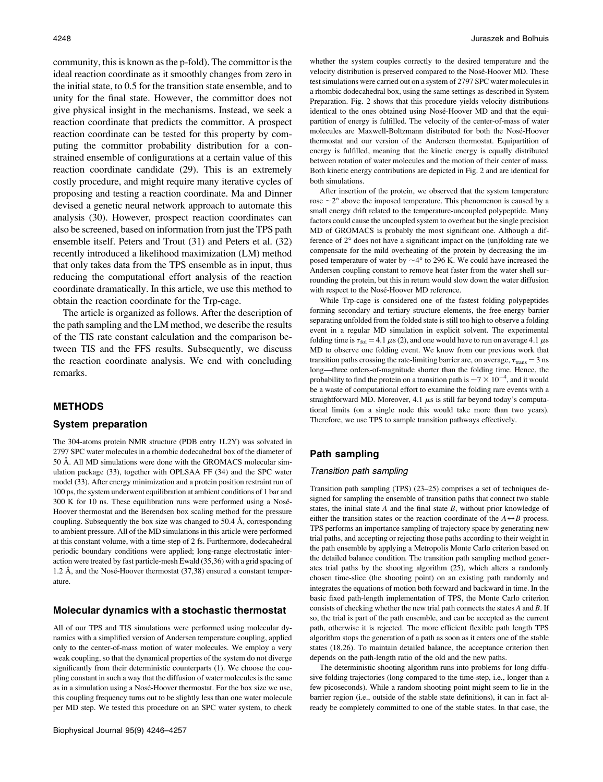community, this is known as the p-fold). The committor is the ideal reaction coordinate as it smoothly changes from zero in the initial state, to 0.5 for the transition state ensemble, and to unity for the final state. However, the committor does not give physical insight in the mechanisms. Instead, we seek a reaction coordinate that predicts the committor. A prospect reaction coordinate can be tested for this property by computing the committor probability distribution for a constrained ensemble of configurations at a certain value of this reaction coordinate candidate (29). This is an extremely costly procedure, and might require many iterative cycles of proposing and testing a reaction coordinate. Ma and Dinner devised a genetic neural network approach to automate this analysis (30). However, prospect reaction coordinates can also be screened, based on information from just the TPS path ensemble itself. Peters and Trout (31) and Peters et al. (32) recently introduced a likelihood maximization (LM) method that only takes data from the TPS ensemble as in input, thus reducing the computational effort analysis of the reaction coordinate dramatically. In this article, we use this method to obtain the reaction coordinate for the Trp-cage.

The article is organized as follows. After the description of the path sampling and the LM method, we describe the results of the TIS rate constant calculation and the comparison between TIS and the FFS results. Subsequently, we discuss the reaction coordinate analysis. We end with concluding remarks.

## METHODS

#### System preparation

The 304-atoms protein NMR structure (PDB entry 1L2Y) was solvated in 2797 SPC water molecules in a rhombic dodecahedral box of the diameter of 50 Å. All MD simulations were done with the GROMACS molecular simulation package (33), together with OPLSAA FF (34) and the SPC water model (33). After energy minimization and a protein position restraint run of 100 ps, the system underwent equilibration at ambient conditions of 1 bar and  $300$  K for 10 ns. These equilibration runs were performed using a Nosé-Hoover thermostat and the Berendsen box scaling method for the pressure coupling. Subsequently the box size was changed to  $50.4 \text{ Å}$ , corresponding to ambient pressure. All of the MD simulations in this article were performed at this constant volume, with a time-step of 2 fs. Furthermore, dodecahedral periodic boundary conditions were applied; long-range electrostatic interaction were treated by fast particle-mesh Ewald (35,36) with a grid spacing of 1.2 Å, and the Nosé-Hoover thermostat  $(37,38)$  ensured a constant temperature.

#### Molecular dynamics with a stochastic thermostat

All of our TPS and TIS simulations were performed using molecular dynamics with a simplified version of Andersen temperature coupling, applied only to the center-of-mass motion of water molecules. We employ a very weak coupling, so that the dynamical properties of the system do not diverge significantly from their deterministic counterparts (1). We choose the coupling constant in such a way that the diffusion of water molecules is the same as in a simulation using a Nosé-Hoover thermostat. For the box size we use, this coupling frequency turns out to be slightly less than one water molecule per MD step. We tested this procedure on an SPC water system, to check whether the system couples correctly to the desired temperature and the velocity distribution is preserved compared to the Nosé-Hoover MD. These test simulations were carried out on a system of 2797 SPC water molecules in a rhombic dodecahedral box, using the same settings as described in System Preparation. Fig. 2 shows that this procedure yields velocity distributions identical to the ones obtained using Nosé-Hoover MD and that the equipartition of energy is fulfilled. The velocity of the center-of-mass of water molecules are Maxwell-Boltzmann distributed for both the Nosé-Hoover thermostat and our version of the Andersen thermostat. Equipartition of energy is fulfilled, meaning that the kinetic energy is equally distributed between rotation of water molecules and the motion of their center of mass. Both kinetic energy contributions are depicted in Fig. 2 and are identical for both simulations.

After insertion of the protein, we observed that the system temperature rose  $\sim$  2 $\degree$  above the imposed temperature. This phenomenon is caused by a small energy drift related to the temperature-uncoupled polypeptide. Many factors could cause the uncoupled system to overheat but the single precision MD of GROMACS is probably the most significant one. Although a difference of  $2^{\circ}$  does not have a significant impact on the (un)folding rate we compensate for the mild overheating of the protein by decreasing the imposed temperature of water by  $\sim$ 4 $\degree$  to 296 K. We could have increased the Andersen coupling constant to remove heat faster from the water shell surrounding the protein, but this in return would slow down the water diffusion with respect to the Nosé-Hoover MD reference.

While Trp-cage is considered one of the fastest folding polypeptides forming secondary and tertiary structure elements, the free-energy barrier separating unfolded from the folded state is still too high to observe a folding event in a regular MD simulation in explicit solvent. The experimental folding time is  $\tau_{\text{fol}} = 4.1 \,\mu s$  (2), and one would have to run on average 4.1  $\mu s$ MD to observe one folding event. We know from our previous work that transition paths crossing the rate-limiting barrier are, on average,  $\tau_{trans} = 3$  ns long—three orders-of-magnitude shorter than the folding time. Hence, the probability to find the protein on a transition path is  $\sim$  7  $\times$  10<sup>-4</sup>, and it would be a waste of computational effort to examine the folding rare events with a straightforward MD. Moreover, 4.1  $\mu$ s is still far beyond today's computational limits (on a single node this would take more than two years). Therefore, we use TPS to sample transition pathways effectively.

# Path sampling

#### Transition path sampling

Transition path sampling (TPS) (23–25) comprises a set of techniques designed for sampling the ensemble of transition paths that connect two stable states, the initial state  $A$  and the final state  $B$ , without prior knowledge of either the transition states or the reaction coordinate of the  $A \leftrightarrow B$  process. TPS performs an importance sampling of trajectory space by generating new trial paths, and accepting or rejecting those paths according to their weight in the path ensemble by applying a Metropolis Monte Carlo criterion based on the detailed balance condition. The transition path sampling method generates trial paths by the shooting algorithm (25), which alters a randomly chosen time-slice (the shooting point) on an existing path randomly and integrates the equations of motion both forward and backward in time. In the basic fixed path-length implementation of TPS, the Monte Carlo criterion consists of checking whether the new trial path connects the states A and B. If so, the trial is part of the path ensemble, and can be accepted as the current path, otherwise it is rejected. The more efficient flexible path length TPS algorithm stops the generation of a path as soon as it enters one of the stable states (18,26). To maintain detailed balance, the acceptance criterion then depends on the path-length ratio of the old and the new paths.

The deterministic shooting algorithm runs into problems for long diffusive folding trajectories (long compared to the time-step, i.e., longer than a few picoseconds). While a random shooting point might seem to lie in the barrier region (i.e., outside of the stable state definitions), it can in fact already be completely committed to one of the stable states. In that case, the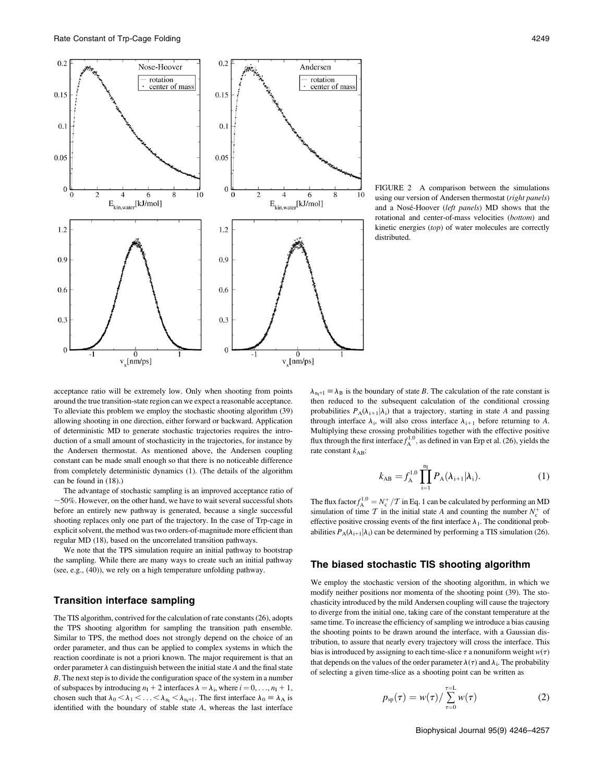

FIGURE 2 A comparison between the simulations using our version of Andersen thermostat (right panels) and a Nosé-Hoover (left panels) MD shows that the rotational and center-of-mass velocities (bottom) and kinetic energies (top) of water molecules are correctly distributed.

acceptance ratio will be extremely low. Only when shooting from points around the true transition-state region can we expect a reasonable acceptance. To alleviate this problem we employ the stochastic shooting algorithm (39) allowing shooting in one direction, either forward or backward. Application of deterministic MD to generate stochastic trajectories requires the introduction of a small amount of stochasticity in the trajectories, for instance by the Andersen thermostat. As mentioned above, the Andersen coupling constant can be made small enough so that there is no noticeable difference from completely deterministic dynamics (1). (The details of the algorithm can be found in (18).)

The advantage of stochastic sampling is an improved acceptance ratio of  $\sim$  50%. However, on the other hand, we have to wait several successful shots before an entirely new pathway is generated, because a single successful shooting replaces only one part of the trajectory. In the case of Trp-cage in explicit solvent, the method was two orders-of-magnitude more efficient than regular MD (18), based on the uncorrelated transition pathways.

We note that the TPS simulation require an initial pathway to bootstrap the sampling. While there are many ways to create such an initial pathway (see, e.g., (40)), we rely on a high temperature unfolding pathway.

## Transition interface sampling

The TIS algorithm, contrived for the calculation of rate constants (26), adopts the TPS shooting algorithm for sampling the transition path ensemble. Similar to TPS, the method does not strongly depend on the choice of an order parameter, and thus can be applied to complex systems in which the reaction coordinate is not a priori known. The major requirement is that an order parameter  $\lambda$  can distinguish between the initial state A and the final state B. The next step is to divide the configuration space of the system in a number of subspaces by introducing  $n_1 + 2$  interfaces  $\lambda = \lambda_i$ , where  $i = 0, \ldots, n_1 + 1$ , chosen such that  $\lambda_0 < \lambda_1 < \ldots < \lambda_{n_I} < \lambda_{n_I+1}$ . The first interface  $\lambda_0 \equiv \lambda_A$  is identified with the boundary of stable state A, whereas the last interface  $\lambda_{n+1} \equiv \lambda_B$  is the boundary of state B. The calculation of the rate constant is then reduced to the subsequent calculation of the conditional crossing probabilities  $P_A(\lambda_{i+1}|\lambda_i)$  that a trajectory, starting in state A and passing through interface  $\lambda_i$ , will also cross interface  $\lambda_{i+1}$  before returning to A. Multiplying these crossing probabilities together with the effective positive flux through the first interface  $f_A^{1,0}$ , as defined in van Erp et al. (26), yields the rate constant  $k_{AB}$ :

$$
k_{AB} = f_A^{1,0} \prod_{i=1}^{n_1} P_A(\lambda_{i+1}|\lambda_i).
$$
 (1)

The flux factor  $f_A^{1,0} = N_c^+/T$  in Eq. 1 can be calculated by performing an MD simulation of time  $T$  in the initial state A and counting the number  $N_c^+$  of effective positive crossing events of the first interface  $\lambda_1$ . The conditional probabilities  $P_A(\lambda_{i+1}|\lambda_i)$  can be determined by performing a TIS simulation (26).

#### The biased stochastic TIS shooting algorithm

We employ the stochastic version of the shooting algorithm, in which we modify neither positions nor momenta of the shooting point (39). The stochasticity introduced by the mild Andersen coupling will cause the trajectory to diverge from the initial one, taking care of the constant temperature at the same time. To increase the efficiency of sampling we introduce a bias causing the shooting points to be drawn around the interface, with a Gaussian distribution, to assure that nearly every trajectory will cross the interface. This bias is introduced by assigning to each time-slice  $\tau$  a nonuniform weight  $w(\tau)$ that depends on the values of the order parameter  $\lambda(\tau)$  and  $\lambda_i$ . The probability of selecting a given time-slice as a shooting point can be written as

$$
p_{\rm sp}(\tau) = w(\tau) / \sum_{\tau=0}^{\tau=1} w(\tau) \tag{2}
$$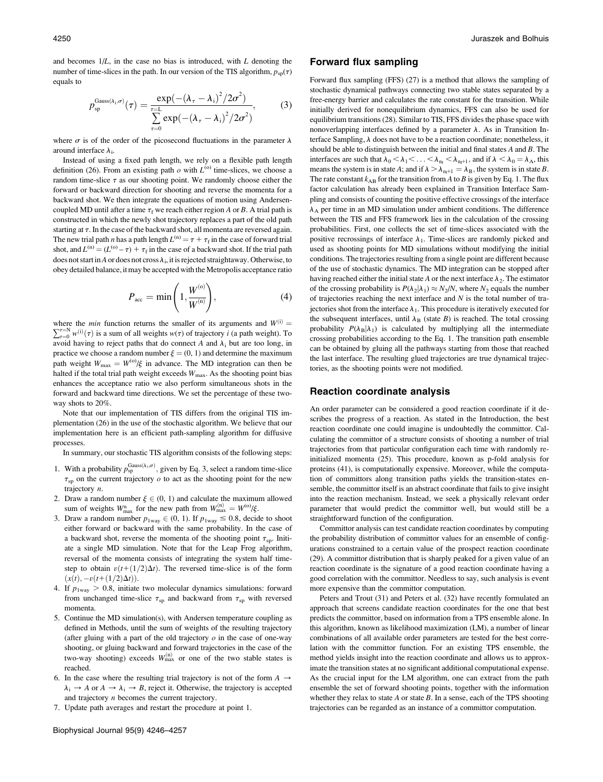and becomes  $1/L$ , in the case no bias is introduced, with  $L$  denoting the number of time-slices in the path. In our version of the TIS algorithm,  $p_{sp}(\tau)$ equals to

$$
p_{sp}^{\text{Gauss}(\lambda_i,\sigma)}(\tau) = \frac{\exp(-( \lambda_{\tau} - \lambda_i)^2 / 2\sigma^2)}{\sum_{\tau=0}^{\tau=1} \exp(-( \lambda_{\tau} - \lambda_i)^2 / 2\sigma^2)},
$$
(3)

where  $\sigma$  is of the order of the picosecond fluctuations in the parameter  $\lambda$ around interface  $\lambda_i$ .

Instead of using a fixed path length, we rely on a flexible path length definition (26). From an existing path  $o$  with  $L^{(o)}$  time-slices, we choose a random time-slice  $\tau$  as our shooting point. We randomly choose either the forward or backward direction for shooting and reverse the momenta for a backward shot. We then integrate the equations of motion using Andersencoupled MD until after a time  $\tau_f$  we reach either region A or B. A trial path is constructed in which the newly shot trajectory replaces a part of the old path starting at  $\tau$ . In the case of the backward shot, all momenta are reversed again. The new trial path *n* has a path length  $L^{(n)} = \tau + \tau_f$  in the case of forward trial shot, and  $L^{(n)} = (L^{(o)} - \tau) + \tau_f$  in the case of a backward shot. If the trial path does not start in A or does not cross  $\lambda_i$ , it is rejected straightaway. Otherwise, to obey detailed balance, it may be accepted with the Metropolis acceptance ratio

$$
P_{\text{acc}} = \min\left(1, \frac{W^{(\text{o})}}{W^{(\text{n})}}\right),\tag{4}
$$

where the *min* function returns the smaller of its arguments and  $W^{(i)}$  =  $\sum_{\tau=0}^{\tau=N} w^{(i)}(\tau)$  is a sum of all weights  $w(\tau)$  of trajectory *i* (a path weight). To avoid having to reject paths that do connect A and  $\lambda_i$  but are too long, in practice we choose a random number  $\xi = (0, 1)$  and determine the maximum path weight  $W_{\text{max}} = W^{(0)}/\xi$  in advance. The MD integration can then be halted if the total trial path weight exceeds  $W_{\text{max}}$ . As the shooting point bias enhances the acceptance ratio we also perform simultaneous shots in the forward and backward time directions. We set the percentage of these twoway shots to 20%.

Note that our implementation of TIS differs from the original TIS implementation (26) in the use of the stochastic algorithm. We believe that our implementation here is an efficient path-sampling algorithm for diffusive processes.

In summary, our stochastic TIS algorithm consists of the following steps:

- 1. With a probability  $p_{\text{sp}}^{\text{Gauss}(\lambda_i,\sigma)}$ , given by Eq. 3, select a random time-slice  $\tau_{sp}$  on the current trajectory  $\varrho$  to act as the shooting point for the new trajectory n.
- 2. Draw a random number  $\xi \in (0, 1)$  and calculate the maximum allowed sum of weights  $W_{\text{max}}^n$  for the new path from  $W_{\text{max}}^{(n)} = W^{(0)} / \xi$ .
- 3. Draw a random number  $p_{1\text{way}} \in (0, 1)$ . If  $p_{1\text{way}} \le 0.8$ , decide to shoot either forward or backward with the same probability. In the case of a backward shot, reverse the momenta of the shooting point  $\tau_{\text{sp}}$ . Initiate a single MD simulation. Note that for the Leap Frog algorithm, reversal of the momenta consists of integrating the system half timestep to obtain  $v(t+(1/2)\Delta t)$ . The reversed time-slice is of the form  $(x(t), -v(t+(1/2)\Delta t)).$
- 4. If  $p_{1\text{way}} > 0.8$ , initiate two molecular dynamics simulations: forward from unchanged time-slice  $\tau_{sp}$  and backward from  $\tau_{sp}$  with reversed momenta.
- 5. Continue the MD simulation(s), with Andersen temperature coupling as defined in Methods, until the sum of weights of the resulting trajectory (after gluing with a part of the old trajectory  $\rho$  in the case of one-way shooting, or gluing backward and forward trajectories in the case of the two-way shooting) exceeds  $W_{\text{max}}^{(n)}$  or one of the two stable states is reached.
- 6. In the case where the resulting trial trajectory is not of the form  $A \rightarrow$  $\lambda_i \rightarrow A$  or  $A \rightarrow \lambda_i \rightarrow B$ , reject it. Otherwise, the trajectory is accepted and trajectory n becomes the current trajectory.
- 7. Update path averages and restart the procedure at point 1.

#### Forward flux sampling

Forward flux sampling (FFS) (27) is a method that allows the sampling of stochastic dynamical pathways connecting two stable states separated by a free-energy barrier and calculates the rate constant for the transition. While initially derived for nonequilibrium dynamics, FFS can also be used for equilibrium transitions (28). Similar to TIS, FFS divides the phase space with nonoverlapping interfaces defined by a parameter  $\lambda$ . As in Transition Interface Sampling,  $\lambda$  does not have to be a reaction coordinate; nonetheless, it should be able to distinguish between the initial and final states A and B. The interfaces are such that  $\lambda_0 < \lambda_1 < \ldots < \lambda_{n_I} < \lambda_{n_I+1}$ , and if  $\lambda < \lambda_0 = \lambda_A$ , this means the system is in state A; and if  $\lambda > \lambda_{n+1} = \lambda_B$ , the system is in state B. The rate constant  $k_{AB}$  for the transition from A to B is given by Eq. 1. The flux factor calculation has already been explained in Transition Interface Sampling and consists of counting the positive effective crossings of the interface  $\lambda_A$  per time in an MD simulation under ambient conditions. The difference between the TIS and FFS framework lies in the calculation of the crossing probabilities. First, one collects the set of time-slices associated with the positive recrossings of interface  $\lambda_1$ . Time-slices are randomly picked and used as shooting points for MD simulations without modifying the initial conditions. The trajectories resulting from a single point are different because of the use of stochastic dynamics. The MD integration can be stopped after having reached either the initial state A or the next interface  $\lambda_2$ . The estimator of the crossing probability is  $P(\lambda_2|\lambda_1) \approx N_2/N$ , where  $N_2$  equals the number of trajectories reaching the next interface and  $N$  is the total number of trajectories shot from the interface  $\lambda_1$ . This procedure is iteratively executed for the subsequent interfaces, until  $\lambda_B$  (state B) is reached. The total crossing probability  $P(\lambda_B|\lambda_1)$  is calculated by multiplying all the intermediate crossing probabilities according to the Eq. 1. The transition path ensemble can be obtained by gluing all the pathways starting from those that reached the last interface. The resulting glued trajectories are true dynamical trajectories, as the shooting points were not modified.

#### Reaction coordinate analysis

An order parameter can be considered a good reaction coordinate if it describes the progress of a reaction. As stated in the Introduction, the best reaction coordinate one could imagine is undoubtedly the committor. Calculating the committor of a structure consists of shooting a number of trial trajectories from that particular configuration each time with randomly reinitialized momenta (25). This procedure, known as p-fold analysis for proteins (41), is computationally expensive. Moreover, while the computation of committors along transition paths yields the transition-states ensemble, the committor itself is an abstract coordinate that fails to give insight into the reaction mechanism. Instead, we seek a physically relevant order parameter that would predict the committor well, but would still be a straightforward function of the configuration.

Committor analysis can test candidate reaction coordinates by computing the probability distribution of committor values for an ensemble of configurations constrained to a certain value of the prospect reaction coordinate (29). A committor distribution that is sharply peaked for a given value of an reaction coordinate is the signature of a good reaction coordinate having a good correlation with the committor. Needless to say, such analysis is event more expensive than the committor computation.

Peters and Trout (31) and Peters et al. (32) have recently formulated an approach that screens candidate reaction coordinates for the one that best predicts the committor, based on information from a TPS ensemble alone. In this algorithm, known as likelihood maximization (LM), a number of linear combinations of all available order parameters are tested for the best correlation with the committor function. For an existing TPS ensemble, the method yields insight into the reaction coordinate and allows us to approximate the transition states at no significant additional computational expense. As the crucial input for the LM algorithm, one can extract from the path ensemble the set of forward shooting points, together with the information whether they relax to state  $A$  or state  $B$ . In a sense, each of the TPS shooting trajectories can be regarded as an instance of a committor computation.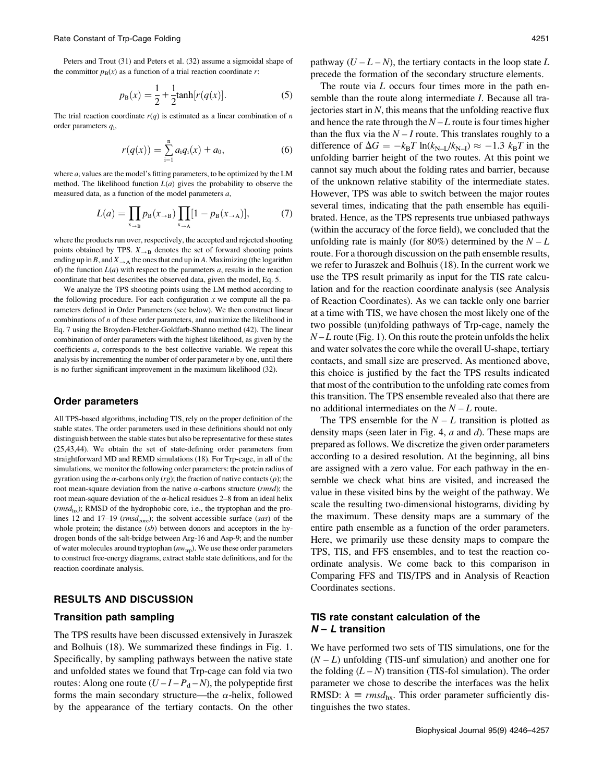Peters and Trout (31) and Peters et al. (32) assume a sigmoidal shape of the committor  $p_B(x)$  as a function of a trial reaction coordinate r:

$$
p_{\mathbf{B}}(x) = \frac{1}{2} + \frac{1}{2} \tanh[r(q(x))].
$$
 (5)

The trial reaction coordinate  $r(q)$  is estimated as a linear combination of n order parameters  $q_i$ ,

$$
r(q(x)) = \sum_{i=1}^{n} a_i q_i(x) + a_0,
$$
 (6)

where  $a_i$  values are the model's fitting parameters, to be optimized by the LM method. The likelihood function  $L(a)$  gives the probability to observe the measured data, as a function of the model parameters  $a$ ,

$$
L(a) = \prod_{x \to B} p_B(x \to B) \prod_{x \to A} [1 - p_B(x \to A)], \tag{7}
$$

where the products run over, respectively, the accepted and rejected shooting points obtained by TPS.  $X_{\rightarrow B}$  denotes the set of forward shooting points ending up in B, and  $X_{\rightarrow A}$  the ones that end up in A. Maximizing (the logarithm of) the function  $L(a)$  with respect to the parameters  $a$ , results in the reaction coordinate that best describes the observed data, given the model, Eq. 5.

We analyze the TPS shooting points using the LM method according to the following procedure. For each configuration  $x$  we compute all the parameters defined in Order Parameters (see below). We then construct linear combinations of n of these order parameters, and maximize the likelihood in Eq. 7 using the Broyden-Fletcher-Goldfarb-Shanno method (42). The linear combination of order parameters with the highest likelihood, as given by the coefficients a, corresponds to the best collective variable. We repeat this analysis by incrementing the number of order parameter  $n$  by one, until there is no further significant improvement in the maximum likelihood (32).

## Order parameters

All TPS-based algorithms, including TIS, rely on the proper definition of the stable states. The order parameters used in these definitions should not only distinguish between the stable states but also be representative for these states (25,43,44). We obtain the set of state-defining order parameters from straightforward MD and REMD simulations (18). For Trp-cage, in all of the simulations, we monitor the following order parameters: the protein radius of gyration using the  $\alpha$ -carbons only (*rg*); the fraction of native contacts ( $\rho$ ); the root mean-square deviation from the native  $\alpha$ -carbons structure (*rmsd*); the root mean-square deviation of the  $\alpha$ -helical residues 2–8 from an ideal helix  $(rmsd<sub>hx</sub>)$ ; RMSD of the hydrophobic core, i.e., the tryptophan and the prolines 12 and 17–19 ( $rmsd_{core}$ ); the solvent-accessible surface (sas) of the whole protein; the distance  $(sb)$  between donors and acceptors in the hydrogen bonds of the salt-bridge between Arg-16 and Asp-9; and the number of water molecules around tryptophan  $(nw_{\text{trp}})$ . We use these order parameters to construct free-energy diagrams, extract stable state definitions, and for the reaction coordinate analysis.

#### RESULTS AND DISCUSSION

# Transition path sampling

The TPS results have been discussed extensively in Juraszek and Bolhuis (18). We summarized these findings in Fig. 1. Specifically, by sampling pathways between the native state and unfolded states we found that Trp-cage can fold via two routes: Along one route  $(U-I-P<sub>d</sub>-N)$ , the polypeptide first forms the main secondary structure—the  $\alpha$ -helix, followed by the appearance of the tertiary contacts. On the other

pathway  $(U - L - N)$ , the tertiary contacts in the loop state L precede the formation of the secondary structure elements.

The route via  $L$  occurs four times more in the path ensemble than the route along intermediate I. Because all trajectories start in  $N$ , this means that the unfolding reactive flux and hence the rate through the  $N-L$  route is four times higher than the flux via the  $N - I$  route. This translates roughly to a difference of  $\Delta G = -k_B T \ln(k_{N-L}/k_{N-l}) \approx -1.3 k_B T$  in the unfolding barrier height of the two routes. At this point we cannot say much about the folding rates and barrier, because of the unknown relative stability of the intermediate states. However, TPS was able to switch between the major routes several times, indicating that the path ensemble has equilibrated. Hence, as the TPS represents true unbiased pathways (within the accuracy of the force field), we concluded that the unfolding rate is mainly (for 80%) determined by the  $N - L$ route. For a thorough discussion on the path ensemble results, we refer to Juraszek and Bolhuis (18). In the current work we use the TPS result primarily as input for the TIS rate calculation and for the reaction coordinate analysis (see Analysis of Reaction Coordinates). As we can tackle only one barrier at a time with TIS, we have chosen the most likely one of the two possible (un)folding pathways of Trp-cage, namely the  $N-L$  route (Fig. 1). On this route the protein unfolds the helix and water solvates the core while the overall U-shape, tertiary contacts, and small size are preserved. As mentioned above, this choice is justified by the fact the TPS results indicated that most of the contribution to the unfolding rate comes from this transition. The TPS ensemble revealed also that there are no additional intermediates on the  $N - L$  route.

The TPS ensemble for the  $N - L$  transition is plotted as density maps (seen later in Fig. 4, *a* and *d*). These maps are prepared as follows. We discretize the given order parameters according to a desired resolution. At the beginning, all bins are assigned with a zero value. For each pathway in the ensemble we check what bins are visited, and increased the value in these visited bins by the weight of the pathway. We scale the resulting two-dimensional histograms, dividing by the maximum. These density maps are a summary of the entire path ensemble as a function of the order parameters. Here, we primarily use these density maps to compare the TPS, TIS, and FFS ensembles, and to test the reaction coordinate analysis. We come back to this comparison in Comparing FFS and TIS/TPS and in Analysis of Reaction Coordinates sections.

# TIS rate constant calculation of the N – L transition

We have performed two sets of TIS simulations, one for the  $(N - L)$  unfolding (TIS-unf simulation) and another one for the folding  $(L - N)$  transition (TIS-fol simulation). The order parameter we chose to describe the interfaces was the helix RMSD:  $\lambda \equiv rmsd_{\text{hx}}$ . This order parameter sufficiently distinguishes the two states.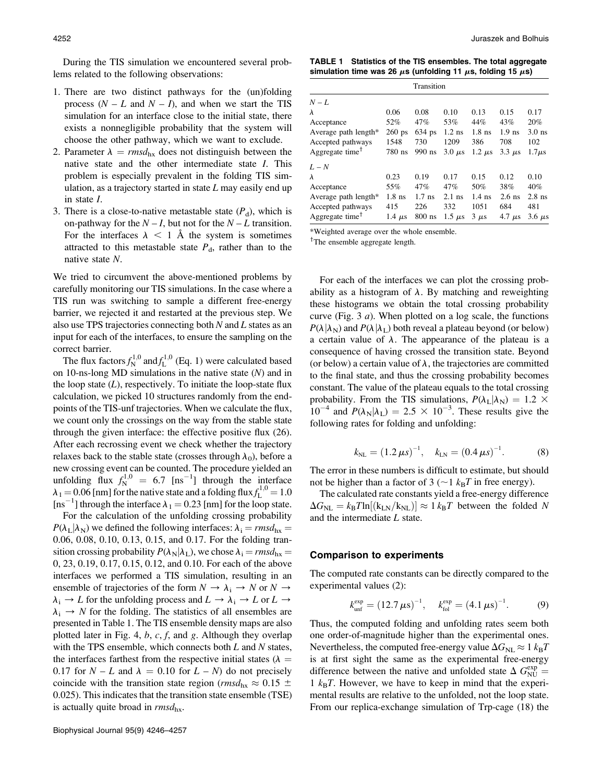During the TIS simulation we encountered several problems related to the following observations:

- 1. There are two distinct pathways for the (un)folding process  $(N - L$  and  $N - I)$ , and when we start the TIS simulation for an interface close to the initial state, there exists a nonnegligible probability that the system will choose the other pathway, which we want to exclude.
- 2. Parameter  $\lambda = rms d_{\text{hx}}$  does not distinguish between the native state and the other intermediate state I. This problem is especially prevalent in the folding TIS simulation, as a trajectory started in state  $L$  may easily end up in state I.
- 3. There is a close-to-native metastable state  $(P_d)$ , which is on-pathway for the  $N - I$ , but not for the  $N - L$  transition. For the interfaces  $\lambda$  < 1 Å the system is sometimes attracted to this metastable state  $P_{d}$ , rather than to the native state N.

We tried to circumvent the above-mentioned problems by carefully monitoring our TIS simulations. In the case where a TIS run was switching to sample a different free-energy barrier, we rejected it and restarted at the previous step. We also use TPS trajectories connecting both  $N$  and  $L$  states as an input for each of the interfaces, to ensure the sampling on the correct barrier.

The flux factors  $f_N^{1,0}$  and  $f_L^{1,0}$  (Eq. 1) were calculated based on 10-ns-long MD simulations in the native state  $(N)$  and in the loop state  $(L)$ , respectively. To initiate the loop-state flux calculation, we picked 10 structures randomly from the endpoints of the TIS-unf trajectories. When we calculate the flux, we count only the crossings on the way from the stable state through the given interface: the effective positive flux (26). After each recrossing event we check whether the trajectory relaxes back to the stable state (crosses through  $\lambda_0$ ), before a new crossing event can be counted. The procedure yielded an unfolding flux  $f_N^{1,0} = 6.7$  [ns<sup>-1</sup>] through the interface  $\lambda_1 = 0.06$  [nm] for the native state and a folding flux  $f_L^{1,0} = 1.0$ [ns<sup>-1</sup>] through the interface  $\lambda_1 = 0.23$  [nm] for the loop state.

For the calculation of the unfolding crossing probability  $P(\lambda_L|\lambda_N)$  we defined the following interfaces:  $\lambda_i = rms d_{hx}$ 0.06, 0.08, 0.10, 0.13, 0.15, and 0.17. For the folding transition crossing probability  $P(\lambda_N|\lambda_L)$ , we chose  $\lambda_i = rmsd_{hx}$ 0, 23, 0.19, 0.17, 0.15, 0.12, and 0.10. For each of the above interfaces we performed a TIS simulation, resulting in an ensemble of trajectories of the form  $N \to \lambda_i \to N$  or  $N \to$  $\lambda_i \rightarrow L$  for the unfolding process and  $L \rightarrow \lambda_i \rightarrow L$  or  $L \rightarrow$  $\lambda_i \rightarrow N$  for the folding. The statistics of all ensembles are presented in Table 1. The TIS ensemble density maps are also plotted later in Fig. 4,  $b$ ,  $c$ ,  $f$ , and  $g$ . Although they overlap with the TPS ensemble, which connects both  $L$  and  $N$  states, the interfaces farthest from the respective initial states ( $\lambda =$ 0.17 for  $N - L$  and  $\lambda = 0.10$  for  $L - N$ ) do not precisely coincide with the transition state region ( $\text{rmsd}_{\text{hx}} \approx 0.15 \pm$ 0.025). This indicates that the transition state ensemble (TSE) is actually quite broad in  $\text{rmsd}_{\text{hx}}$ .

TABLE 1 Statistics of the TIS ensembles. The total aggregate simulation time was 26  $\mu$ s (unfolding 11  $\mu$ s, folding 15  $\mu$ s)

| Transition                  |             |          |             |             |             |             |  |  |
|-----------------------------|-------------|----------|-------------|-------------|-------------|-------------|--|--|
| $N - L$                     |             |          |             |             |             |             |  |  |
| λ                           | 0.06        | 0.08     | 0.10        | 0.13        | 0.15        | 0.17        |  |  |
| Acceptance                  | 52%         | 47%      | 53%         | 44%         | 43%         | 20%         |  |  |
| Average path length*        | $260$ ps    | 634 ps   | $1.2$ ns    | $1.8$ ns    | $1.9$ ns    | $3.0$ ns    |  |  |
| Accepted pathways           | 1548        | 730      | 1209        | 386         | 708         | 102         |  |  |
| Aggregate time <sup>†</sup> | 780 ns      | 990 ns   | $3.0 \mu s$ | $1.2 \mu s$ | $3.3 \mu s$ | $1.7 \mu s$ |  |  |
| $L-N$                       |             |          |             |             |             |             |  |  |
| $\lambda$                   | 0.23        | 0.19     | 0.17        | 0.15        | 0.12        | 0.10        |  |  |
| Acceptance                  | 55%         | 47%      | 47%         | 50%         | 38%         | 40%         |  |  |
| Average path length*        | $1.8$ ns    | $1.7$ ns | $2.1$ ns    | $1.4$ ns    | $2.6$ ns    | $2.8$ ns    |  |  |
| Accepted pathways           | 415         | 226      | 332         | 1051        | 684         | 481         |  |  |
| Aggregate time <sup>†</sup> | $1.4 \mu s$ | 800 ns   | $1.5 \mu s$ | $3 \mu s$   | 4.7 $\mu$ s | $3.6 \mu s$ |  |  |

\*Weighted average over the whole ensemble.

<sup>†</sup>The ensemble aggregate length.

For each of the interfaces we can plot the crossing probability as a histogram of  $\lambda$ . By matching and reweighting these histograms we obtain the total crossing probability curve (Fig.  $3$   $a$ ). When plotted on a log scale, the functions  $P(\lambda|\lambda_N)$  and  $P(\lambda|\lambda_I)$  both reveal a plateau beyond (or below) a certain value of  $\lambda$ . The appearance of the plateau is a consequence of having crossed the transition state. Beyond (or below) a certain value of  $\lambda$ , the trajectories are committed to the final state, and thus the crossing probability becomes constant. The value of the plateau equals to the total crossing probability. From the TIS simulations,  $P(\lambda_L|\lambda_N) = 1.2 \times$  $10^{-4}$  and  $P(\lambda_N|\lambda_L) = 2.5 \times 10^{-3}$ . These results give the following rates for folding and unfolding:

$$
k_{\text{NL}} = (1.2 \,\mu s)^{-1}, \quad k_{\text{LN}} = (0.4 \,\mu s)^{-1}.
$$
 (8)

The error in these numbers is difficult to estimate, but should not be higher than a factor of 3 ( $\sim$ 1 k<sub>B</sub>T in free energy).

The calculated rate constants yield a free-energy difference  $\Delta G_{\text{NL}} = k_{\text{B}}T \ln[(k_{\text{LN}}/k_{\text{NL}})] \approx 1 \, k_{\text{B}}T$  between the folded N and the intermediate L state.

# Comparison to experiments

The computed rate constants can be directly compared to the experimental values (2):

$$
k_{\text{unf}}^{\text{exp}} = (12.7 \,\mu s)^{-1}, \quad k_{\text{fol}}^{\text{exp}} = (4.1 \,\mu s)^{-1}.
$$
 (9)

Thus, the computed folding and unfolding rates seem both one order-of-magnitude higher than the experimental ones. Nevertheless, the computed free-energy value  $\Delta G_{\rm NL} \approx 1~k_{\rm B}T$ is at first sight the same as the experimental free-energy difference between the native and unfolded state  $\Delta G_{\text{NU}}^{\text{exp}} =$ 1  $k_B T$ . However, we have to keep in mind that the experimental results are relative to the unfolded, not the loop state. From our replica-exchange simulation of Trp-cage (18) the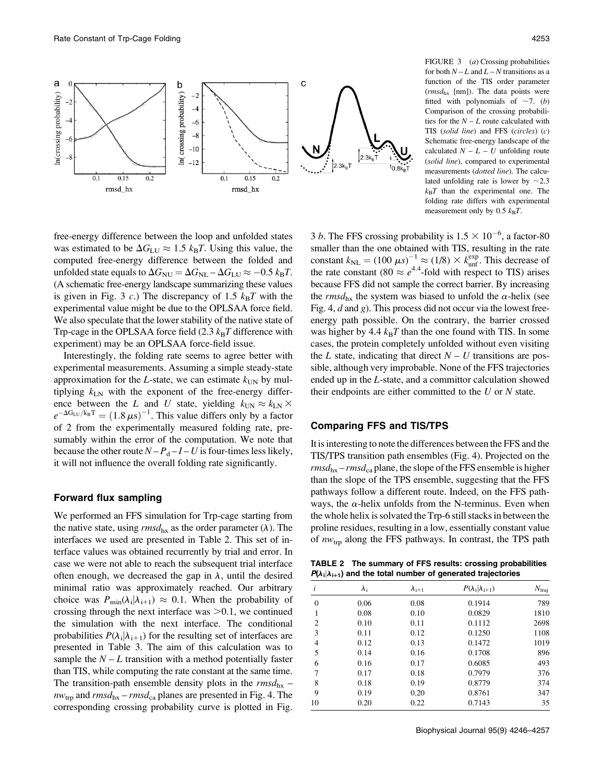

FIGURE 3 (*a*) Crossing probabilities for both  $N - L$  and  $L - N$  transitions as a function of the TIS order parameter  $(rmsd<sub>hx</sub>$  [nm]). The data points were fitted with polynomials of  $\sim$ 7. (b) Comparison of the crossing probabilities for the  $N - L$  route calculated with TIS (solid line) and FFS (circles) (c) Schematic free-energy landscape of the calculated  $N - L - U$  unfolding route (solid line), compared to experimental measurements (dotted line). The calculated unfolding rate is lower by  $\sim$ 2.3  $k_BT$  than the experimental one. The folding rate differs with experimental measurement only by 0.5  $k_BT$ .

free-energy difference between the loop and unfolded states was estimated to be  $\Delta G_{\text{LU}} \approx 1.5 \ k_{\text{B}}T$ . Using this value, the computed free-energy difference between the folded and unfolded state equals to  $\Delta G_{\rm NU} = \Delta G_{\rm NL} - \Delta G_{\rm LU} \approx -0.5$   $k_{\rm B}T$ . (A schematic free-energy landscape summarizing these values is given in Fig. 3 c.) The discrepancy of 1.5  $k_BT$  with the experimental value might be due to the OPLSAA force field. We also speculate that the lower stability of the native state of Trp-cage in the OPLSAA force field  $(2.3 \, k_B T)$  difference with experiment) may be an OPLSAA force-field issue.

Interestingly, the folding rate seems to agree better with experimental measurements. Assuming a simple steady-state approximation for the L-state, we can estimate  $k_{\text{UN}}$  by multiplying  $k_{LN}$  with the exponent of the free-energy difference between the L and U state, yielding  $k_{UN} \approx k_{LN} \times$  $e^{-\Delta G_{\text{LU}}/k_{\text{B}}T} = (1.8 \,\mu s)^{-1}$ . This value differs only by a factor of 2 from the experimentally measured folding rate, presumably within the error of the computation. We note that because the other route  $N - P_d - I - U$  is four-times less likely, it will not influence the overall folding rate significantly.

### Forward flux sampling

We performed an FFS simulation for Trp-cage starting from the native state, using  $\mathit{rmsd}_{\text{hx}}$  as the order parameter ( $\lambda$ ). The interfaces we used are presented in Table 2. This set of interface values was obtained recurrently by trial and error. In case we were not able to reach the subsequent trial interface often enough, we decreased the gap in  $\lambda$ , until the desired minimal ratio was approximately reached. Our arbitrary choice was  $P_{\text{min}}(\lambda_i|\lambda_{i+1}) \approx 0.1$ . When the probability of crossing through the next interface was  $>0.1$ , we continued the simulation with the next interface. The conditional probabilities  $P(\lambda_i|\lambda_{i+1})$  for the resulting set of interfaces are presented in Table 3. The aim of this calculation was to sample the  $N - L$  transition with a method potentially faster than TIS, while computing the rate constant at the same time. The transition-path ensemble density plots in the  $\text{rmsd}_{\text{hx}}$  –  $nw_{\text{trp}}$  and  $rmsd_{\text{hx}} - rmsd_{\text{ca}}$  planes are presented in Fig. 4. The corresponding crossing probability curve is plotted in Fig.

3 *b*. The FFS crossing probability is  $1.5 \times 10^{-6}$ , a factor-80 smaller than the one obtained with TIS, resulting in the rate constant  $k_{\text{NL}} = (100 \ \mu s)^{-1} \approx (1/8) \times k_{\text{unf}}^{\text{exp}}$ . This decrease of the rate constant (80  $\approx e^{4.4}$ -fold with respect to TIS) arises because FFS did not sample the correct barrier. By increasing the *rmsd*<sub>hx</sub> the system was biased to unfold the  $\alpha$ -helix (see Fig. 4, *d* and *g*). This process did not occur via the lowest freeenergy path possible. On the contrary, the barrier crossed was higher by 4.4  $k_BT$  than the one found with TIS. In some cases, the protein completely unfolded without even visiting the L state, indicating that direct  $N-U$  transitions are possible, although very improbable. None of the FFS trajectories ended up in the L-state, and a committor calculation showed their endpoints are either committed to the  $U$  or  $N$  state.

# Comparing FFS and TIS/TPS

It is interesting to note the differences between the FFS and the TIS/TPS transition path ensembles (Fig. 4). Projected on the  $rmsd_{\text{hx}} - rmsd_{\text{ca}}$  plane, the slope of the FFS ensemble is higher than the slope of the TPS ensemble, suggesting that the FFS pathways follow a different route. Indeed, on the FFS pathways, the  $\alpha$ -helix unfolds from the N-terminus. Even when the whole helix is solvated the Trp-6 still stacks in between the proline residues, resulting in a low, essentially constant value of  $nw_{\text{trp}}$  along the FFS pathways. In contrast, the TPS path

TABLE 2 The summary of FFS results: crossing probabilities  $P(\lambda_i|\lambda_{i+1})$  and the total number of generated trajectories

| i        | $\lambda_i$ | $\lambda_{i+1}$ | $P(\lambda_i \lambda_{i+1})$ | $N_{\text{traj}}$ |
|----------|-------------|-----------------|------------------------------|-------------------|
| $\Omega$ | 0.06        | 0.08            | 0.1914                       | 789               |
| 1        | 0.08        | 0.10            | 0.0829                       | 1810              |
| 2        | 0.10        | 0.11            | 0.1112                       | 2698              |
| 3        | 0.11        | 0.12            | 0.1250                       | 1108              |
| 4        | 0.12        | 0.13            | 0.1472                       | 1019              |
| 5        | 0.14        | 0.16            | 0.1708                       | 896               |
| 6        | 0.16        | 0.17            | 0.6085                       | 493               |
| 7        | 0.17        | 0.18            | 0.7979                       | 376               |
| 8        | 0.18        | 0.19            | 0.8779                       | 374               |
| 9        | 0.19        | 0.20            | 0.8761                       | 347               |
| 10       | 0.20        | 0.22            | 0.7143                       | 35                |
|          |             |                 |                              |                   |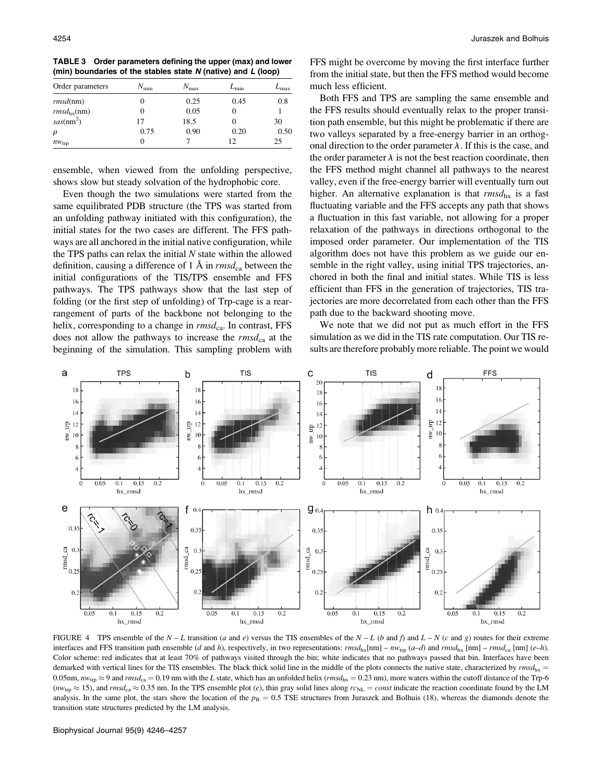TABLE 3 Order parameters defining the upper (max) and lower (min) boundaries of the stables state  $N$  (native) and  $L$  (loop)

| Order parameters       | $N_{\rm min}$ | $N_{\rm max}$ | $L_{\rm min}$ | $L_{\rm max}$ |  |
|------------------------|---------------|---------------|---------------|---------------|--|
| $\mathit{rmsd}(nm)$    | 0             | 0.25          | 0.45          | 0.8           |  |
| $rmsd_{\text{hx}}(nm)$ | $_{0}$        | 0.05          |               |               |  |
| $sas(nm^2)$            | 17            | 18.5          |               | 30            |  |
| ρ                      | 0.75          | 0.90          | 0.20          | 0.50          |  |
| $nw_{\text{trp}}$      | 0             |               | 12            | 25            |  |

ensemble, when viewed from the unfolding perspective, shows slow but steady solvation of the hydrophobic core.

Even though the two simulations were started from the same equilibrated PDB structure (the TPS was started from an unfolding pathway initiated with this configuration), the initial states for the two cases are different. The FFS pathways are all anchored in the initial native configuration, while the TPS paths can relax the initial  $N$  state within the allowed definition, causing a difference of 1 Å in  $\textit{rmsd}_{\text{ca}}$  between the initial configurations of the TIS/TPS ensemble and FFS pathways. The TPS pathways show that the last step of folding (or the first step of unfolding) of Trp-cage is a rearrangement of parts of the backbone not belonging to the helix, corresponding to a change in  $\mathit{rmsd}_{\text{ca}}$ . In contrast, FFS does not allow the pathways to increase the  $\text{rms}d_{\text{ca}}$  at the beginning of the simulation. This sampling problem with FFS might be overcome by moving the first interface further from the initial state, but then the FFS method would become much less efficient.

Both FFS and TPS are sampling the same ensemble and the FFS results should eventually relax to the proper transition path ensemble, but this might be problematic if there are two valleys separated by a free-energy barrier in an orthogonal direction to the order parameter  $\lambda$ . If this is the case, and the order parameter  $\lambda$  is not the best reaction coordinate, then the FFS method might channel all pathways to the nearest valley, even if the free-energy barrier will eventually turn out higher. An alternative explanation is that  $\textit{rmsd}_{\text{hx}}$  is a fast fluctuating variable and the FFS accepts any path that shows a fluctuation in this fast variable, not allowing for a proper relaxation of the pathways in directions orthogonal to the imposed order parameter. Our implementation of the TIS algorithm does not have this problem as we guide our ensemble in the right valley, using initial TPS trajectories, anchored in both the final and initial states. While TIS is less efficient than FFS in the generation of trajectories, TIS trajectories are more decorrelated from each other than the FFS path due to the backward shooting move.

We note that we did not put as much effort in the FFS simulation as we did in the TIS rate computation. Our TIS results are therefore probably more reliable. The point we would



FIGURE 4 TPS ensemble of the  $N - L$  transition (a and e) versus the TIS ensembles of the  $N - L$  (b and f) and  $L - N$  (c and g) routes for their extreme interfaces and FFS transition path ensemble (d and h), respectively, in two representations:  $\mathit{rmsd}_{\text{hx}}[\text{nm}] - \mathit{nw}_{\text{trp}}(a-d)$  and  $\mathit{rmsd}_{\text{hx}}[\text{nm}] - \mathit{rmsd}_{\text{ca}}[\text{nm}](e-h)$ . Color scheme: red indicates that at least 70% of pathways visited through the bin; white indicates that no pathways passed that bin. Interfaces have been demarked with vertical lines for the TIS ensembles. The black thick solid line in the middle of the plots connects the native state, characterized by  $rmsd_{hx}$ 0.05nm,  $n w_{\text{trp}} \approx 9$  and  $r m s d_{\text{ca}} = 0.19$  nm with the L state, which has an unfolded helix ( $r m s d_{\text{hx}} = 0.23$  nm), more waters within the cutoff distance of the Trp-6  $(nw_{\text{trp}} \approx 15)$ , and  $rms_{\text{ca}} \approx 0.35$  nm. In the TPS ensemble plot (e), thin gray solid lines along  $rc_{\text{NL}} = const$  indicate the reaction coordinate found by the LM analysis. In the same plot, the stars show the location of the  $p_B = 0.5$  TSE structures from Juraszek and Bolhuis (18), whereas the diamonds denote the transition state structures predicted by the LM analysis.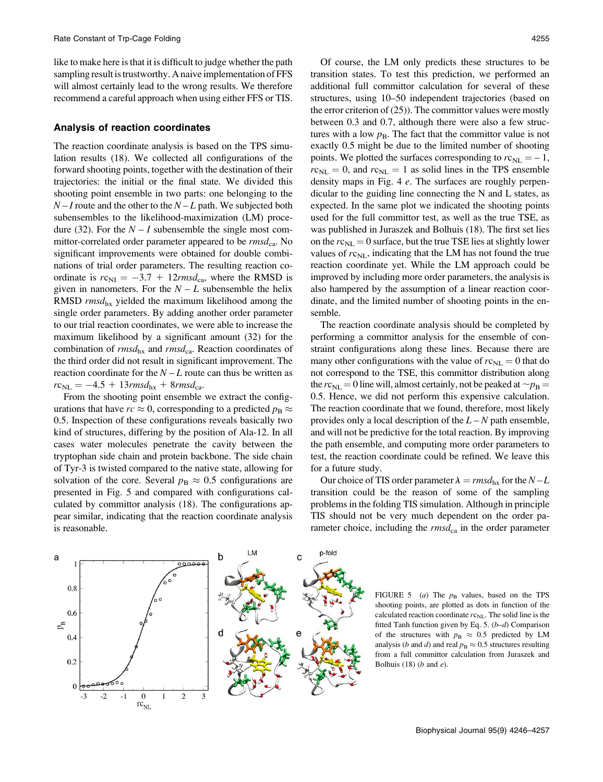like to make here is that it is difficult to judge whether the path sampling result is trustworthy. A naive implementation of FFS will almost certainly lead to the wrong results. We therefore recommend a careful approach when using either FFS or TIS.

#### Analysis of reaction coordinates

The reaction coordinate analysis is based on the TPS simulation results (18). We collected all configurations of the forward shooting points, together with the destination of their trajectories: the initial or the final state. We divided this shooting point ensemble in two parts: one belonging to the  $N-I$  route and the other to the  $N-L$  path. We subjected both subensembles to the likelihood-maximization (LM) procedure (32). For the  $N - I$  subensemble the single most committor-correlated order parameter appeared to be  $\mathit{rmsd}_{\text{ca}}$ . No significant improvements were obtained for double combinations of trial order parameters. The resulting reaction coordinate is  $rc_{\text{NI}} = -3.7 + 12 \text{rms} d_{\text{ca}}$ , where the RMSD is given in nanometers. For the  $N - L$  subensemble the helix RMSD  $\rm{rmsd}_{\rm{hx}}$  yielded the maximum likelihood among the single order parameters. By adding another order parameter to our trial reaction coordinates, we were able to increase the maximum likelihood by a significant amount (32) for the combination of  $\text{rmsd}_{\text{hx}}$  and  $\text{rmsd}_{\text{ca}}$ . Reaction coordinates of the third order did not result in significant improvement. The reaction coordinate for the  $N - L$  route can thus be written as  $rc_{NL} = -4.5 + 13 \, rms\,_{hx} + 8 \, rms\,_{ca}.$ 

From the shooting point ensemble we extract the configurations that have  $rc \approx 0$ , corresponding to a predicted  $p_B \approx$ 0.5. Inspection of these configurations reveals basically two kind of structures, differing by the position of Ala-12. In all cases water molecules penetrate the cavity between the tryptophan side chain and protein backbone. The side chain of Tyr-3 is twisted compared to the native state, allowing for solvation of the core. Several  $p_B \approx 0.5$  configurations are presented in Fig. 5 and compared with configurations calculated by committor analysis (18). The configurations appear similar, indicating that the reaction coordinate analysis is reasonable.

Of course, the LM only predicts these structures to be transition states. To test this prediction, we performed an additional full committor calculation for several of these structures, using 10–50 independent trajectories (based on the error criterion of (25)). The committor values were mostly between 0.3 and 0.7, although there were also a few structures with a low  $p_B$ . The fact that the committor value is not exactly 0.5 might be due to the limited number of shooting points. We plotted the surfaces corresponding to  $r c_{NL} = -1$ ,  $r_{\text{CNL}} = 0$ , and  $r_{\text{CNL}} = 1$  as solid lines in the TPS ensemble density maps in Fig. 4 e. The surfaces are roughly perpendicular to the guiding line connecting the N and L states, as expected. In the same plot we indicated the shooting points used for the full committor test, as well as the true TSE, as was published in Juraszek and Bolhuis (18). The first set lies on the  $rc_{NL} = 0$  surface, but the true TSE lies at slightly lower values of  $r_{\text{NL}}$ , indicating that the LM has not found the true reaction coordinate yet. While the LM approach could be improved by including more order parameters, the analysis is also hampered by the assumption of a linear reaction coordinate, and the limited number of shooting points in the ensemble.

The reaction coordinate analysis should be completed by performing a committor analysis for the ensemble of constraint configurations along these lines. Because there are many other configurations with the value of  $r c_{NL} = 0$  that do not correspond to the TSE, this committor distribution along the  $r c_{NL} = 0$  line will, almost certainly, not be peaked at  $\sim p_B$  = 0.5. Hence, we did not perform this expensive calculation. The reaction coordinate that we found, therefore, most likely provides only a local description of the  $L - N$  path ensemble, and will not be predictive for the total reaction. By improving the path ensemble, and computing more order parameters to test, the reaction coordinate could be refined. We leave this for a future study.

Our choice of TIS order parameter  $\lambda = rms d_{\text{hx}}$  for the  $N - L$ transition could be the reason of some of the sampling problems in the folding TIS simulation. Although in principle TIS should not be very much dependent on the order parameter choice, including the  $\text{rmsd}_{\text{ca}}$  in the order parameter



FIGURE 5 (a) The  $p_B$  values, based on the TPS shooting points, are plotted as dots in function of the calculated reaction coordinate  $r_{\text{NL}}$ . The solid line is the fitted Tanh function given by Eq. 5.  $(b-d)$  Comparison of the structures with  $p_B \approx 0.5$  predicted by LM analysis (*b* and *d*) and real  $p_B \approx 0.5$  structures resulting from a full committor calculation from Juraszek and Bolhuis (18) ( $b$  and  $e$ ).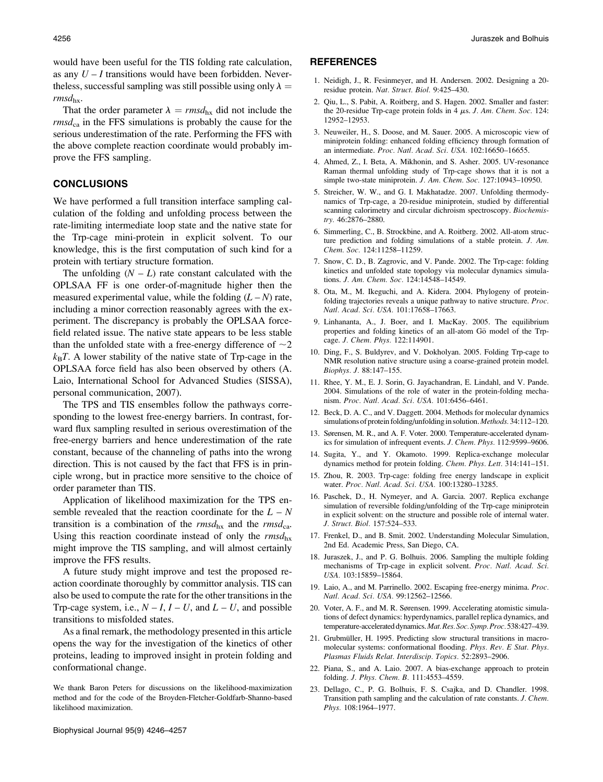would have been useful for the TIS folding rate calculation, as any  $U - I$  transitions would have been forbidden. Nevertheless, successful sampling was still possible using only  $\lambda =$  $rmsd_{\rm hx}$ .

That the order parameter  $\lambda = rms d_{\text{hx}}$  did not include the  $rmsd_{cs}$  in the FFS simulations is probably the cause for the serious underestimation of the rate. Performing the FFS with the above complete reaction coordinate would probably improve the FFS sampling.

# CONCLUSIONS

We have performed a full transition interface sampling calculation of the folding and unfolding process between the rate-limiting intermediate loop state and the native state for the Trp-cage mini-protein in explicit solvent. To our knowledge, this is the first computation of such kind for a protein with tertiary structure formation.

The unfolding  $(N - L)$  rate constant calculated with the OPLSAA FF is one order-of-magnitude higher then the measured experimental value, while the folding  $(L - N)$  rate, including a minor correction reasonably agrees with the experiment. The discrepancy is probably the OPLSAA forcefield related issue. The native state appears to be less stable than the unfolded state with a free-energy difference of  $\sim$ 2  $k_BT$ . A lower stability of the native state of Trp-cage in the OPLSAA force field has also been observed by others (A. Laio, International School for Advanced Studies (SISSA), personal communication, 2007).

The TPS and TIS ensembles follow the pathways corresponding to the lowest free-energy barriers. In contrast, forward flux sampling resulted in serious overestimation of the free-energy barriers and hence underestimation of the rate constant, because of the channeling of paths into the wrong direction. This is not caused by the fact that FFS is in principle wrong, but in practice more sensitive to the choice of order parameter than TIS.

Application of likelihood maximization for the TPS ensemble revealed that the reaction coordinate for the  $L - N$ transition is a combination of the  $\text{rmsd}_{\text{hx}}$  and the  $\text{rmsd}_{\text{ca}}$ . Using this reaction coordinate instead of only the  $\text{rmsd}_{\text{hx}}$ might improve the TIS sampling, and will almost certainly improve the FFS results.

A future study might improve and test the proposed reaction coordinate thoroughly by committor analysis. TIS can also be used to compute the rate for the other transitions in the Trp-cage system, i.e.,  $N - I$ ,  $I - U$ , and  $L - U$ , and possible transitions to misfolded states.

As a final remark, the methodology presented in this article opens the way for the investigation of the kinetics of other proteins, leading to improved insight in protein folding and conformational change.

We thank Baron Peters for discussions on the likelihood-maximization method and for the code of the Broyden-Fletcher-Goldfarb-Shanno-based likelihood maximization.

## **REFERENCES**

- 1. Neidigh, J., R. Fesinmeyer, and H. Andersen. 2002. Designing a 20 residue protein. Nat. Struct. Biol. 9:425–430.
- 2. Qiu, L., S. Pabit, A. Roitberg, and S. Hagen. 2002. Smaller and faster: the 20-residue Trp-cage protein folds in 4  $\mu$ s. J. Am. Chem. Soc. 124: 12952–12953.
- 3. Neuweiler, H., S. Doose, and M. Sauer. 2005. A microscopic view of miniprotein folding: enhanced folding efficiency through formation of an intermediate. Proc. Natl. Acad. Sci. USA. 102:16650–16655.
- 4. Ahmed, Z., I. Beta, A. Mikhonin, and S. Asher. 2005. UV-resonance Raman thermal unfolding study of Trp-cage shows that it is not a simple two-state miniprotein. J. Am. Chem. Soc. 127:10943–10950.
- 5. Streicher, W. W., and G. I. Makhatadze. 2007. Unfolding thermodynamics of Trp-cage, a 20-residue miniprotein, studied by differential scanning calorimetry and circular dichroism spectroscopy. Biochemistry. 46:2876–2880.
- 6. Simmerling, C., B. Strockbine, and A. Roitberg. 2002. All-atom structure prediction and folding simulations of a stable protein. J. Am. Chem. Soc. 124:11258–11259.
- 7. Snow, C. D., B. Zagrovic, and V. Pande. 2002. The Trp-cage: folding kinetics and unfolded state topology via molecular dynamics simulations. J. Am. Chem. Soc. 124:14548–14549.
- 8. Ota, M., M. Ikeguchi, and A. Kidera. 2004. Phylogeny of proteinfolding trajectories reveals a unique pathway to native structure. Proc. Natl. Acad. Sci. USA. 101:17658–17663.
- 9. Linhananta, A., J. Boer, and I. MacKay. 2005. The equilibrium properties and folding kinetics of an all-atom Go model of the Trpcage. J. Chem. Phys. 122:114901.
- 10. Ding, F., S. Buldyrev, and V. Dokholyan. 2005. Folding Trp-cage to NMR resolution native structure using a coarse-grained protein model. Biophys. J. 88:147–155.
- 11. Rhee, Y. M., E. J. Sorin, G. Jayachandran, E. Lindahl, and V. Pande. 2004. Simulations of the role of water in the protein-folding mechanism. Proc. Natl. Acad. Sci. USA. 101:6456–6461.
- 12. Beck, D. A. C., and V. Daggett. 2004. Methods for molecular dynamics simulations of protein folding/unfolding in solution. Methods. 34:112-120.
- 13. Sørensen, M. R., and A. F. Voter. 2000. Temperature-accelerated dynamics for simulation of infrequent events. J. Chem. Phys. 112:9599–9606.
- 14. Sugita, Y., and Y. Okamoto. 1999. Replica-exchange molecular dynamics method for protein folding. Chem. Phys. Lett. 314:141–151.
- 15. Zhou, R. 2003. Trp-cage: folding free energy landscape in explicit water. Proc. Natl. Acad. Sci. USA. 100:13280–13285.
- 16. Paschek, D., H. Nymeyer, and A. Garcia. 2007. Replica exchange simulation of reversible folding/unfolding of the Trp-cage miniprotein in explicit solvent: on the structure and possible role of internal water. J. Struct. Biol. 157:524–533.
- 17. Frenkel, D., and B. Smit. 2002. Understanding Molecular Simulation, 2nd Ed. Academic Press, San Diego, CA.
- 18. Juraszek, J., and P. G. Bolhuis. 2006. Sampling the multiple folding mechanisms of Trp-cage in explicit solvent. Proc. Natl. Acad. Sci. USA. 103:15859–15864.
- 19. Laio, A., and M. Parrinello. 2002. Escaping free-energy minima. Proc. Natl. Acad. Sci. USA. 99:12562–12566.
- 20. Voter, A. F., and M. R. Sørensen. 1999. Accelerating atomistic simulations of defect dynamics: hyperdynamics, parallel replica dynamics, and temperature-accelerated dynamics.Mat. Res. Soc. Symp. Proc.538:427–439.
- 21. Grubmüller, H. 1995. Predicting slow structural transitions in macromolecular systems: conformational flooding. Phys. Rev. E Stat. Phys. Plasmas Fluids Relat. Interdiscip. Topics. 52:2893–2906.
- 22. Piana, S., and A. Laio. 2007. A bias-exchange approach to protein folding. J. Phys. Chem. B. 111:4553–4559.
- 23. Dellago, C., P. G. Bolhuis, F. S. Csajka, and D. Chandler. 1998. Transition path sampling and the calculation of rate constants. J. Chem. Phys. 108:1964–1977.